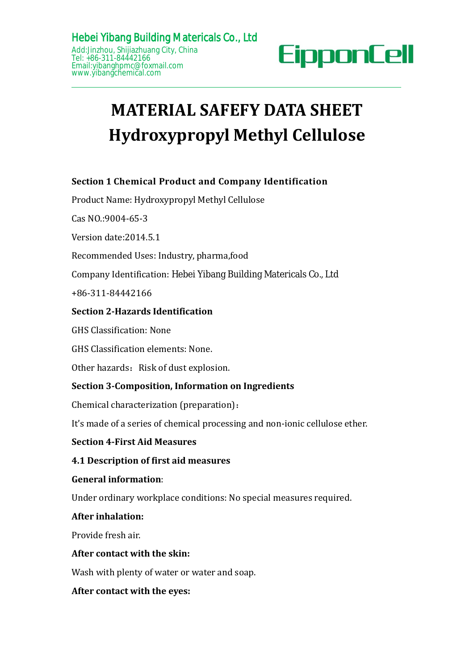

# **MATERIAL SAFEFY DATA SHEET Hydroxypropyl Methyl Cellulose HeberYiDang Bunding Matericals Co., Ltd**<br>
<u>Addilination</u> City, China<br>
Enail:yibanghemc@foxmail.com<br> **MATERIAL SAFEFY DATA SHEET**<br> **Hydroxypropyl Methyl Cellulose**<br>
Section 1 Chemical Product and Company Identification<br>
P **MATERIAL SAFEFY DATA SHEE<br>Hydroxypropyl Methyl Cellulos**<br>Section 1 Chemical Product and Company Identification<br>Product Name: Hydroxypropyl Methyl Cellulose<br>Cas NO.:9004-65-3<br>Version date:2014.5.1<br>Recommended Uses: Industr EXAMPLE SERVICE SAFET SAFET SAFET SAFET SAFET SERIORS Section 1 Chemical Product and Compa<br>
Product Name: Hydroxypropyl Methyl Cellu<br>
Cas NO.:9004-65-3<br>
Version date:2014.5.1<br>
Recommended Uses: Industry, pharma,food<br>
Compa

**Hydroxypropyl Meta**<br>Section 1 Chemical Product and Company<br>Product Name: Hydroxypropyl Methyl Cellulos<br>Cas NO.:9004-65-3<br>Version date:2014.5.1<br>Recommended Uses: Industry, pharma,food<br>Company Identification: Hebei Yibang B **Section 1 Chemical Product and Company Identificatio**<br>Product Name: Hydroxypropyl Methyl Cellulose<br>Cas NO.:9004-65-3<br>Version date:2014.5.1<br>Recommended Uses: Industry, pharma,food<br>Company Identification: Hebei Yibang Build

Section 1 Chemical Product and Company Identification<br>Product Name: Hydroxypropyl Methyl Cellulose<br>Cas NO.:9004-65-3<br>Version date:2014.5.1<br>Recommended Uses: Industry, pharma,food<br>Company Identification: Hebei Yibang Buildi Section 1 Chemical Product and Company Identification<br>Product Name: Hydroxypropyl Methyl Cellulose<br>Cas NO.:9004-65-3<br>Version date:2014.5.1<br>Recommended Uses: Industry, pharma,food<br>Company Identification: Hebei Yibang Buildi Version date:2014.5.1<br>Recommended Uses: Industry, pharma,food<br>Company Identification: Hebei Yibang Building Ma<br>+86-311-84442166<br>**Section 2-Hazards Identification**<br>GHS Classification: None<br>GHS Classification elements: None. Recommended Uses: Industry, pharma,food<br>
Company Identification: Hebei Yibang Building Matericals C<br>
+86-311-84442166<br> **Section 2-Hazards Identification**<br>
GHS Classification: None<br>
GHS Classification elements: None.<br>
Other Company Identification: Hebei Yibang Building Matericals C<br>
+86-311-84442166<br> **Section 2-Hazards Identification**<br>
GHS Classification: None<br>
GHS Classification elements: None.<br>
Other hazards: Risk of dust explosion.<br> **Secti** 

+86-311-84442166

# Section 2-Hazards Identification<br>GHS Classification: None<br>GHS Classification elements: None.<br>Other hazards: Risk of dust explosion.<br>Section 3-Composition, Information on Ingredie<br>Chemical characterization (preparation):<br>It GHS Classification elements: None.<br>
Other hazards: Risk of dust explosion.<br> **Section 3-Composition, Information c**<br>
Chemical characterization (preparation)<br>
It's made of a series of chemical process<br> **Section 4-First Aid M Section 3-Composition, Informatio**<br>Chemical characterization (preparati<br>It's made of a series of chemical proc<br>**Section 4-First Aid Measures**<br>**4.1 Description of first aid measur<br>General information:**<br>Under ordinary workp

Recommended Uses: Industry, pharma,food<br>
Company Identification: Hebei Yibang Building Matericals Co., Ltd<br>
+86-311-84442166<br> **Section 2-Hazards Identification**<br>
GHS Classification: None<br>
GHS Classification: None<br>
Other ha Section 2-Hazards Identification<br>GHS Classification: None<br>GHS Classification elements: None.<br>Other hazards: Risk of dust explosion.<br>Section 3-Composition, Information on Ingredients<br>Chemical characterization (preparation): GHS Classification: None<br>
GHS Classification elements: None.<br>
Other hazards: Risk of dust explosion.<br> **Section 3-Composition, Information on Ingredients**<br>
Chemical characterization (preparation):<br>
It's made of a series of **4.1 Description: None**<br> **4.1 Description of the first aids**<br> **4.1 Description of first aids 4.1 Description of first aid measures**<br> **4.1 Description of first aid measures**<br> **4.1 Description of first aid measures**<br> **4.1** Chemical characterization (preparation):<br>It's made of a series of chemical processing and non-ionic cellulose ether.<br>**Section 4-First Aid Measures**<br>**4.1 Description of first aid measures<br>General information:**<br>Under ordinar It's made of a series of chemical processing and non-ion<br>**Section 4-First Aid Measures**<br>**4.1 Description of first aid measures**<br>**General information:**<br>Under ordinary workplace conditions: No special meas<br>**After inhalation:** 

Section 4-First Aid Measures<br>4.1 Description of first aid measures<br>General information:<br>Under ordinary workplace conditions: No spe<br>After inhalation:<br>Provide fresh air.<br>After contact with the skin:<br>Wash with plenty of wate General information:<br>Under ordinary workplace conditions: No special measures required.<br>After inhalation:<br>Provide fresh air.<br>Mater contact with the skin:<br>Wash with plenty of water or water and soap.<br>After contact with the **4.1 Description of first aid measures<br>
General information:**<br>
Under ordinary workplace conditions: No special meas<br> **After inhalation:**<br>
Provide fresh air.<br> **After contact with the skin:**<br>
Wash with plenty of water or wat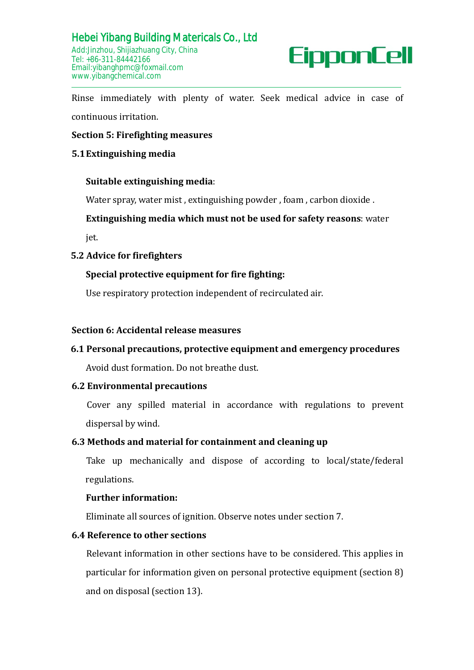### **Suitable extinguishing media**:

Water spray, water mist , extinguishing powder , foam , carbon dioxide .

# **Extinguishing media which must not be used for safety reasons**: water

jet.

# **5.2 Advice for firefighters**

# **Special protective equipment for fire fighting:**

Use respiratory protection independent of recirculated air.

### **Section 6: Accidental release measures**

# **6.1 Personal precautions, protective equipment and emergency procedures**

Avoid dust formation. Do not breathe dust.

# **6.2 Environmental precautions**

Cover any spilled material in accordance with regulations to prevent dispersal by wind.

### **6.3 Methods and material for containment and cleaning up**

Take up mechanically and dispose of according to local/state/federal regulations.

### **Further information:**

Eliminate all sources of ignition. Observe notes under section 7.

# **6.4 Reference to other sections**

Relevant information in other sections have to be considered. This applies in particular for information given on personal protective equipment (section 8) and on disposal (section 13).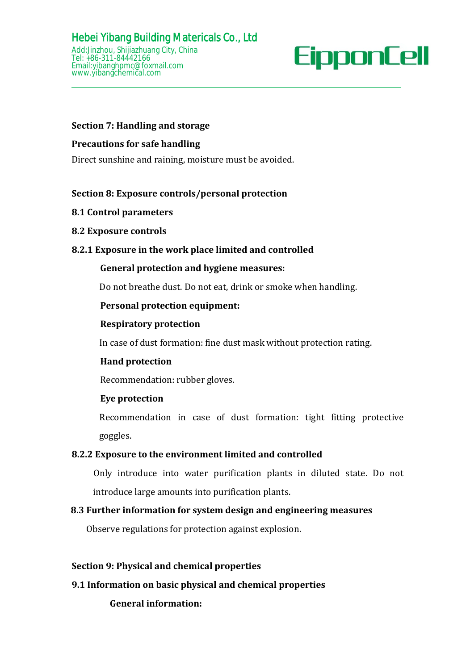# **Section 7: Handling and storage**

### **Precautions for safe handling**

Direct sunshine and raining, moisture must be avoided.

# **Section 8: Exposure controls/personal protection**

- **8.1 Control parameters**
- **8.2 Exposure controls**

### **8.2.1 Exposure in the work place limited and controlled**

### **General protection and hygiene measures:**

Do not breathe dust. Do not eat, drink or smoke when handling.

### **Personal protection equipment:**

### **Respiratory protection**

In case of dust formation: fine dust mask without protection rating.

# **Hand protection**

Recommendation: rubber gloves.

### **Eye protection**

Recommendation in case of dust formation: tight fitting protective goggles.

# **8.2.2 Exposure to the environment limited and controlled**

Only introduce into water purification plants in diluted state. Do not introduce large amounts into purification plants.

# **8.3 Further information for system design and engineering measures**

Observe regulations for protection against explosion.

### **Section 9: Physical and chemical properties**

### **9.1 Information on basicphysical and chemical properties**

**General information:**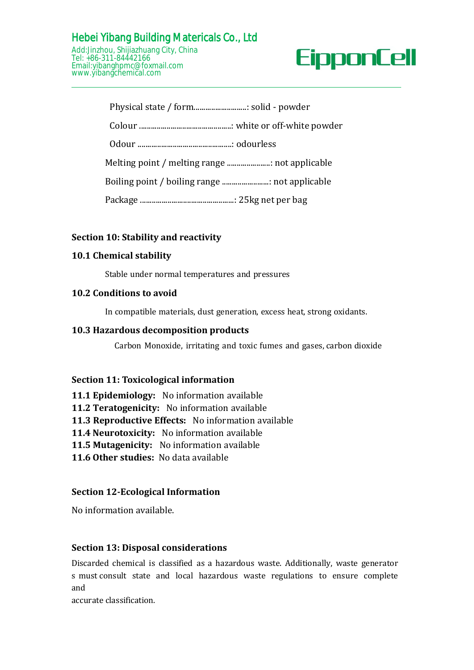# Hebei Yibang Building Matericals Co., Ltd Add:Jinzhou, Shijiazhuang City, China Tel: +86-311-84442166

Email:yibanghpmc@foxmail.com [www.yibangchemical.com](http://www.kimacellulose.com)



# **Section 10: Stability and reactivity**

### **10.1 Chemical stability**

Stable under normal temperatures and pressures

### **10.2 Conditions to avoid**

In compatible materials, dust generation, excess heat, strong oxidants.

### **10.3 Hazardous decomposition products**

Carbon Monoxide, irritating and toxic fumes and gases, carbon dioxide

### **Section 11: Toxicological information**

- **11.1 Epidemiology:** No information available
- **11.2 Teratogenicity:** No information available
- **11.3 Reproductive Effects:** No information available
- **11.4 Neurotoxicity:** No information available
- **11.5 Mutagenicity:** No information available
- **11.6 Other studies:** No data available

# **Section 12-Ecological Information**

No information available.

### **Section 13: Disposal considerations**

Discarded chemical is classified as a hazardous waste. Additionally, waste generator s must consult state and local hazardous waste regulations to ensure complete and

accurate classification.